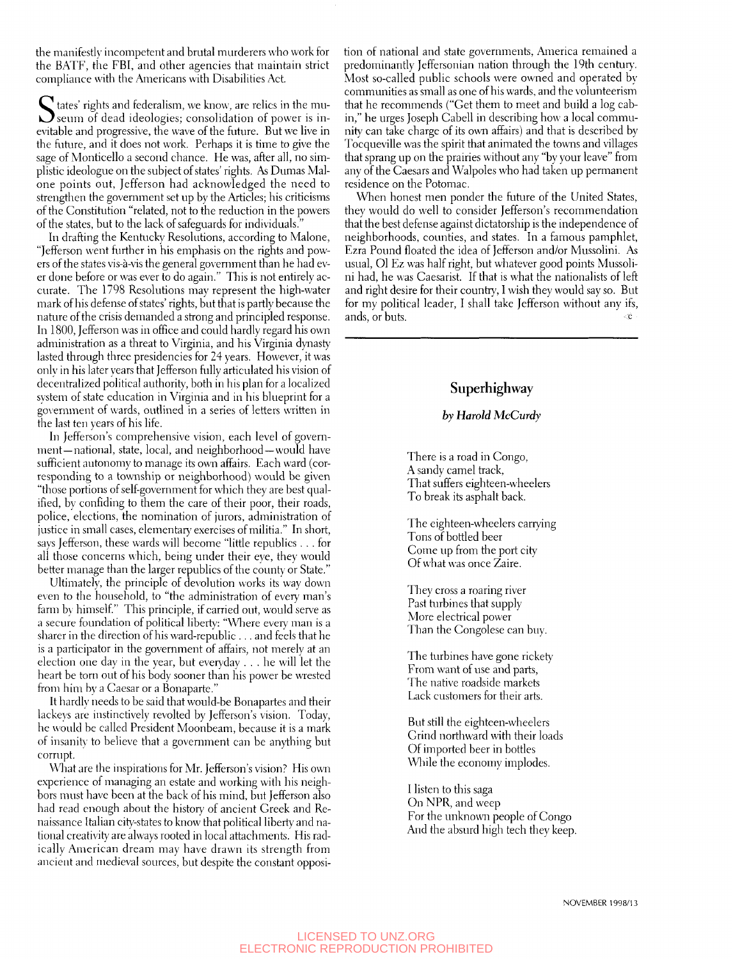the manifestly incompetent and brutal murderers who work for the BATF, the FBI, and other agencies that maintain strict compliance with the Americans with Disabilities Act.

S tates' rights and federalism, we know, are relics in the mu-<br>seum of dead ideologies; consolidation of power is inseum of dead ideologies; consolidation of power is inevitable and progressive, the wave of the future. But we live in the future, and it does not work. Perhaps it is time to give the sage of Monticello a second chance. He was, after all, no simplistic ideologue on the subject of states' rights. As Dumas Malone points out, Jefferson had acknowledged the need to strengthen the government set up by the Articles; his criticisms of the Constitution "related, not to the reduction in the powers of the states, but to the lack of safeguards for individuals."

In drafting the Kentucky Resolutions, according to Malone, "Jefferson went further in his emphasis on the rights and powers of the states vis-a-vis the general government than he had ever done before or was ever to do again." This is not entirely accurate. The 1798 Resolutions may represent the high-water mark of his defense of states' rights, but that is partiy because the nature of the crisis demanded a strong and principled response, In 1800, Jefferson was in office and could hardly regard his own administration as a threat to Virginia, and his Virginia dynasty lasted through three presidencies for 24 years. However, it was only in his later years that Jefferson fully articulated his vision of decentralized political authority, both in his plan for a localized system of state education in Virginia and in his blueprint for a government of wards, outlined in a series of letters written in the last ten years of his life.

In Jefferson's comprehensive vision, each level of government—national, state, local, and neighborhood—would have sufficient autonomy to manage its own affairs. Each ward (corresponding to a township or neighborhood) would be given "those portions of self-government for which they are best qualified, by confiding to them the care of their poor, their roads, police, elections, the nomination of jurors, administration of justice in small cases, elementary exercises of militia." In short, says Jefferson, these wards will become "little republics .. . for all those concerns which, being under their eve, they would better manage than the larger republics of the county or State."

Ultimately, the principle of devolution works its way down even to the household, to "the administration of every man's farm by himself." This principle, if carried out, would serve as a secure foundation of political liberty: "Where every man is a sharer in the direction of his ward-republic . .. and feels that he is a participator in the government of affairs, not merely at an election one day in the year, but everyday .. . he will let the heart be torn out of his body sooner than his power be wrested from him bv a Caesar or a Bonaparte."

It hardly needs to be said that would-be Bonapartes and their lackeys are instinctively revolted by Jefferson's vision. Today, he would be called President Moonbeam, because it is a mark of insanity to believe that a government can be anything but corrupt.

What are the inspirations for Mr. Jefferson's vision? His own experience of managing an estate and working with his neighbors must have been at the back of his mind, but Jefferson also had read enough about the history of ancient Greek and Renaissance Italian city-states to know that political liberty and national creativity are always rooted in local attachments. His radically American dream may have drawn its strength from ancient and medieval sources, but despite the constant opposition of national and state governments, America remained a predominantly Jeffersonian nation through the 19th century. Most so-called public schools were owned and operated by communities as small as one of his wards, and the volunteerism that he recommends ("Get them to meet and build a log cabin," he urges Joseph Cabell in describing how a local community can take charge of its own affairs) and that is described by Tocqueville was the spirit that animated the towns and villages that sprang up on the prairies without any "by your leave" from any of the Caesars and Walpoles who had taken up permanent residence on the Potomac.

When honest men ponder the future of the United States, they would do well to consider Jefferson's recommendation that the best defense against dictatorship is the independence of neighborhoods, counties, and states. In a famous pamphlet, Ezra Pound floated the idea of Jefferson and/or Mussolini. As usual, 01 Ez was half right, but whatever good points Mussolini had, he was Caesarist. If that is what the nationalists of left and right desire for their country, I wish they would say so. But for my political leader, I shall take Jefferson without any ifs, ands, or buts.  $\infty$ 

## Superhighway

## *by Harold McCurdy*

There is a road in Congo, A sandy camel track. That suffers eighteen-wheelers To break its asphalt back.

The eighteen-wheelers carrying Tons of bottled beer Come up from the port city Of what was once Zaire.

They cross a roaring river Past turbines that supply More electrical power Than the Congolese can buy.

The turbines have gone rickety From want of use and parts, The native roadside markets Lack customers for their arts.

But still the eighteen-wheelers Grind northward with their loads Of imported beer in bottles While the economy implodes.

I listen to this saga On NPR, and weep For the unknown people of Congo And the absurd high tech they keep.